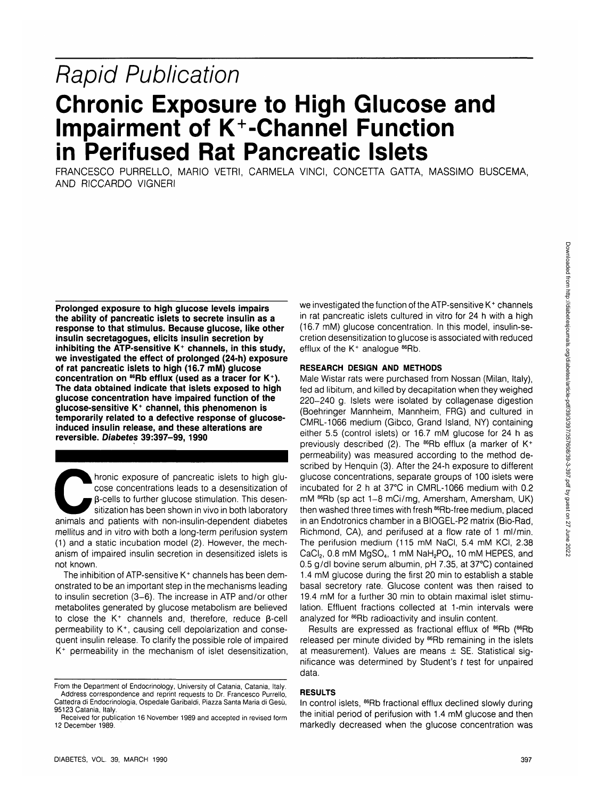# Downloaded from http://diabetesjournals.org/diabetes/article-pdf/39/357/357608/39-3-397.pdf by guest on 27 June 2022 Downloaded from http://diabetesjournals.org/diabetes/article-pdf/39/3/397/357608/39-3-397.pdf by guest on 27 June 2022

# **Rapid Publication Chronic Exposure to High Glucose and**

**Impairment of K+-Channel Function in Perifused Rat Pancreatic Islets**

FRANCESCO PURRELLO, MARIO VETRI, CARMELA VINCI, CONCETTA GATTA, MASSIMO BUSCEMA, AND RICCARDO VIGNERI

**Prolonged exposure to high glucose levels impairs the ability of pancreatic islets to secrete insulin as a response to that stimulus. Because glucose, like other insulin secretagogues, elicits insulin secretion by inhibiting the ATP-sensitive K+ channels, in this study, we investigated the effect of prolonged (24-h) exposure of rat pancreatic islets to high (16.7 mM) glucose concentration on 86Rb efflux (used as a tracer for K+ ). The data obtained indicate that islets exposed to high glucose concentration have impaired function of the glucose-sensitive K+ channel, this phenomenon is temporarily related to a defective response of glucoseinduced insulin release, and these alterations are reversible. Diabetes 39:397-99, 1990**

Antonic exposure of pancreatic islets to high glu-<br>
cose concentrations leads to a desensitization of<br>  $\beta$ -cells to further glucose stimulation. This desen-<br>
sitization has been shown in vivo in both laboratory<br>
animals a cose concentrations leads to a desensitization of p-cells to further glucose stimulation. This desensitization has been shown in vivo in both laboratory mellitus and in vitro with both a long-term perifusion system (1) and a static incubation model (2). However, the mechanism of impaired insulin secretion in desensitized islets is not known.

The inhibition of ATP-sensitive K<sup>+</sup> channels has been demonstrated to be an important step in the mechanisms leading to insulin secretion (3-6). The increase in ATP and/or other metabolites generated by glucose metabolism are believed to close the  $K^+$  channels and, therefore, reduce  $\beta$ -cell permeability to K<sup>+</sup> , causing cell depolarization and consequent insulin release. To clarify the possible role of impaired K+ permeability in the mechanism of islet desensitization,

we investigated the function of the ATP-sensitive K<sup>+</sup> channels in rat pancreatic islets cultured in vitro for 24 h with a high (16.7 mM) glucose concentration. In this model, insulin-secretion desensitization to glucose is associated with reduced efflux of the K<sup>+</sup> analogue <sup>86</sup>Rb.

# **RESEARCH DESIGN AND METHODS**

Male Wistar rats were purchased from Nossan (Milan, Italy), fed ad libitum, and killed by decapitation when they weighed 220-240 g. Islets were isolated by collagenase digestion (Boehringer Mannheim, Mannheim, FRG) and cultured in CMRL-1066 medium (Gibco, Grand Island, NY) containing either 5.5 (control islets) or 16.7 mM glucose for 24 h as previously described (2). The  $^{86}$ Rb efflux (a marker of K<sup>+</sup> permeability) was measured according to the method described by Henquin (3). After the 24-h exposure to different glucose concentrations, separate groups of 100 islets were incubated for 2 h at 37°C in CMRL-1066 medium with 0.2 mM <sup>86</sup>Rb (sp act 1-8 mCi/mg, Amersham, Amersham, UK) then washed three times with fresh <sup>86</sup>Rb-free medium, placed in an Endotronics chamber in a BIOGEL-P2 matrix (Bio-Rad, Richmond, CA), and perifused at a flow rate of 1 ml/min. The perifusion medium (115 mM NaCI, 5.4 mM KCI, 2.38  $CaCl<sub>2</sub>$ , 0.8 mM MgSO<sub>4</sub>, 1 mM NaH<sub>2</sub>PO<sub>4</sub>, 10 mM HEPES, and 0.5 g/dl bovine serum albumin, pH 7.35, at 37°C) contained 1.4 mM glucose during the first 20 min to establish a stable basal secretory rate. Glucose content was then raised to 19.4 mM for a further 30 min to obtain maximal islet stimulation. Effluent fractions collected at 1-min intervals were analyzed for <sup>86</sup>Rb radioactivity and insulin content.

Results are expressed as fractional efflux of <sup>86</sup>Rb (<sup>86</sup>Rb released per minute divided by <sup>86</sup>Rb remaining in the islets at measurement). Values are means  $\pm$  SE. Statistical significance was determined by Student's  $t$  test for unpaired data.

# **RESULTS**

In control islets, <sup>86</sup>Rb fractional efflux declined slowly during the initial period of perifusion with 1.4 mM glucose and then markedly decreased when the glucose concentration was

From the Department of Endocrinology, University of Catania, Catania, Italy. Address correspondence and reprint requests to Dr. Francesco Purrello, Cattedra di Endocrinologia, Ospedale Garibaldi, Piazza Santa Maria di Gesu, 95123 Catania, Italy.

Received for publication 16 November 1989 and accepted in revised form 12 December 1989.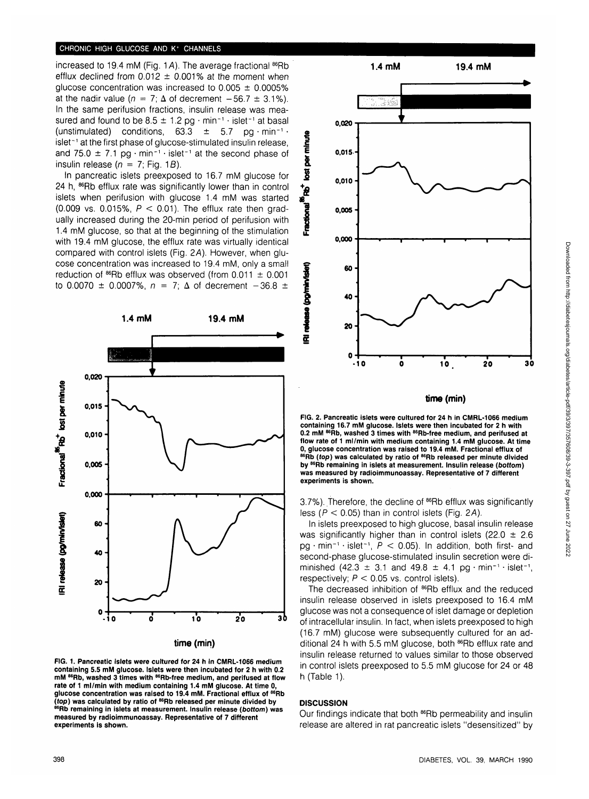### **CHRONIC HIGH GLUCOSE AND K+ CHANNELS**

increased to 19.4 mM (Fig. 1A). The average fractional <sup>86</sup>Rb efflux declined from  $0.012 \pm 0.001\%$  at the moment when glucose concentration was increased to  $0.005 \pm 0.0005\%$ at the nadir value ( $n = 7$ ;  $\Delta$  of decrement  $-56.7 \pm 3.1\%$ ). In the same perifusion fractions, insulin release was measured and found to be  $8.5 \pm 1.2$  pg  $\cdot$  min<sup>-1</sup>  $\cdot$  islet<sup>-1</sup> at basal (unstimulated) conditions,  $63.3 \pm 5.7$  pg·min<sup>-1</sup>· islet<sup>-1</sup> at the first phase of glucose-stimulated insulin release, and 75.0  $\pm$  7.1 pg · min<sup>-1</sup> · islet<sup>-1</sup> at the second phase of insulin release ( $n = 7$ ; Fig. 1B).

In pancreatic islets preexposed to 16.7 mM glucose for 24 h, <sup>86</sup>Rb efflux rate was significantly lower than in control islets when perifusion with glucose 1.4 mM was started (0.009 vs. 0.015%,  $P < 0.01$ ). The efflux rate then gradually increased during the 20-min period of perifusion with 1.4 mM glucose, so that at the beginning of the stimulation with 19.4 mM glucose, the efflux rate was virtually identical compared with control islets (Fig. 2A). However, when glucose concentration was increased to 19.4 mM, only a small reduction of <sup>86</sup>Rb efflux was observed (from 0.011 ± 0.001 to 0.0070  $\pm$  0.0007%,  $n = 7$ ;  $\Delta$  of decrement  $-36.8 \pm$ 



**FIG. 1. Pancreatic islets were cultured for 24 h in CMRL-1066 medium containing 5.5 mM glucose. Islets were then incubated for 2 h with 0.2 mM 86Rb, washed 3 times with 86Rb-free medium, and perifused at flow rate of 1 ml/min with medium containing 1.4 mM glucose. At time 0, glucose concentration was raised to 19.4 mM. Fractional efflux of 86Rb (fop) was calculated by ratio of 86Rb released per minute divided by 86Rb remaining in islets at measurement. Insulin release (bottom) was measured by radioimmunoassay. Representative of 7 different experiments is shown.**



**time (min)**

**FIG. 2. Pancreatic islets were cultured for 24 h in CMRL-1066 medium** containing 16.7 mM glucose. Islets were then incubated for 2 h with<br>0.2 mM <sup>86</sup>Rb, washed 3 times with <sup>86</sup>Rb-free medium, and perifused at **flow rate of 1 ml/min with medium containing 1.4 mM glucose. At time** 0, glucose concentration was raised to 19.4 mM. Fractional efflux of<br><sup>86</sup>Rb (*top*) was calculated by ratio of <sup>86</sup>Rb released per minute divided **by S6Rb remaining in islets at measurement. Insulin release {bottom) was measured by radioimmunoassay. Representative of 7 different experiments is shown.**

3.7%). Therefore, the decline of <sup>86</sup>Rb efflux was significantly less ( $P < 0.05$ ) than in control islets (Fig. 2A).

In islets preexposed to high glucose, basal insulin release was significantly higher than in control islets (22.0  $\pm$  2.6  $pg \cdot min^{-1} \cdot islet^{-1}$ ,  $P < 0.05$ ). In addition, both first- and second-phase glucose-stimulated insulin secretion were diminished  $(42.3 \pm 3.1 \text{ and } 49.8 \pm 4.1 \text{ pg} \cdot \text{min}^{-1} \cdot \text{islet}^{-1})$ respectively;  $P < 0.05$  vs. control islets).

The decreased inhibition of <sup>86</sup>Rb efflux and the reduced insulin release observed in islets preexposed to 16.4 mM glucose was not a consequence of islet damage or depletion of intracellular insulin. In fact, when islets preexposed to high (16.7 mM) glucose were subsequently cultured for an additional 24 h with 5.5 mM glucose, both <sup>86</sup>Rb efflux rate and insulin release returned to values similar to those observed in control islets preexposed to 5.5 mM glucose for 24 or 48 h (Table 1).

# **DISCUSSION**

Fractional Pito<sup>+</sup> lost per minute

release (pg/min/islet)

屋

Our findings indicate that both 86Rb permeability and insulin release are altered in rat pancreatic islets "desensitized" by